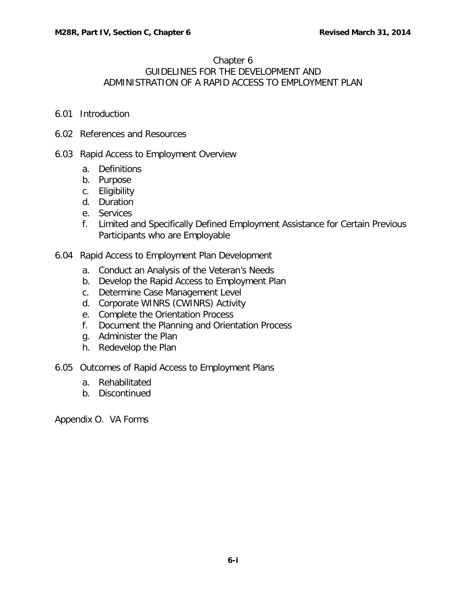#### Chapter 6

# GUIDELINES FOR THE DEVELOPMENT AND ADMINISTRATION OF A RAPID ACCESS TO EMPLOYMENT PLAN

- 6.01 [Introduction](#page-1-0)
- 6.02 [References and Resources](#page-1-1)

# 6.03 [Rapid Access to Employment Overview](#page-1-2)

- a. [Definitions](#page-2-0)
- b. [Purpose](#page-2-1)
- c. [Eligibility](#page-3-0)
- d. [Duration](#page-3-1)
- e. [Services](#page-5-0)
- f. [Limited and Specifically Defined Employment Assistance for Certain Previous](#page-8-0)  [Participants who are Employable](#page-8-0)
- 6.04 [Rapid Access to Employment Plan Development](#page-9-0)
	- a. [Conduct an Analysis of the Veteran's Needs](#page-9-1)
	- b. [Develop the Rapid Access to Employment Plan](#page-9-2)
	- c. [Determine Case Management Level](#page-11-0)
	- d. [Corporate WINRS \(CWINRS\) Activity](#page-12-0)
	- e. [Complete the Orientation Process](#page-14-0)
	- f. [Document the Planning and Orientation Process](#page-14-1)
	- g. [Administer the Plan](#page-14-2)
	- h. [Redevelop the Plan](#page-15-0)
- 6.05 [Outcomes of Rapid Access to Employment Plans](#page-15-1)
	- a. [Rehabilitated](#page-15-2)
	- b. [Discontinued](#page-15-3)

Appendix O. VA Forms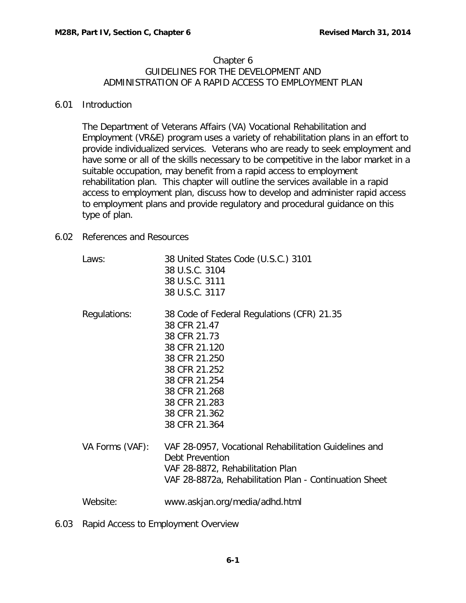## Chapter 6 GUIDELINES FOR THE DEVELOPMENT AND ADMINISTRATION OF A RAPID ACCESS TO EMPLOYMENT PLAN

## <span id="page-1-0"></span>6.01 Introduction

The Department of Veterans Affairs (VA) Vocational Rehabilitation and Employment (VR&E) program uses a variety of rehabilitation plans in an effort to provide individualized services. Veterans who are ready to seek employment and have some or all of the skills necessary to be competitive in the labor market in a suitable occupation, may benefit from a rapid access to employment rehabilitation plan. This chapter will outline the services available in a rapid access to employment plan, discuss how to develop and administer rapid access to employment plans and provide regulatory and procedural guidance on this type of plan.

## <span id="page-1-1"></span>6.02 References and Resources

| Laws:           | 38 United States Code (U.S.C.) 3101<br>38 U.S.C. 3104<br>38 U.S.C. 3111<br>38 U.S.C. 3117                                                                                                                          |
|-----------------|--------------------------------------------------------------------------------------------------------------------------------------------------------------------------------------------------------------------|
| Regulations:    | 38 Code of Federal Regulations (CFR) 21.35<br>38 CFR 21.47<br>38 CFR 21.73<br>38 CFR 21.120<br>38 CFR 21.250<br>38 CFR 21.252<br>38 CFR 21.254<br>38 CFR 21.268<br>38 CFR 21.283<br>38 CFR 21.362<br>38 CFR 21.364 |
| VA Forms (VAF): | VAF 28-0957, Vocational Rehabilitation Guidelines and<br>Debt Prevention<br>VAF 28-8872, Rehabilitation Plan<br>VAF 28-8872a, Rehabilitation Plan - Continuation Sheet                                             |
| Website:        | www.askjan.org/media/adhd.html                                                                                                                                                                                     |

<span id="page-1-2"></span>6.03 Rapid Access to Employment Overview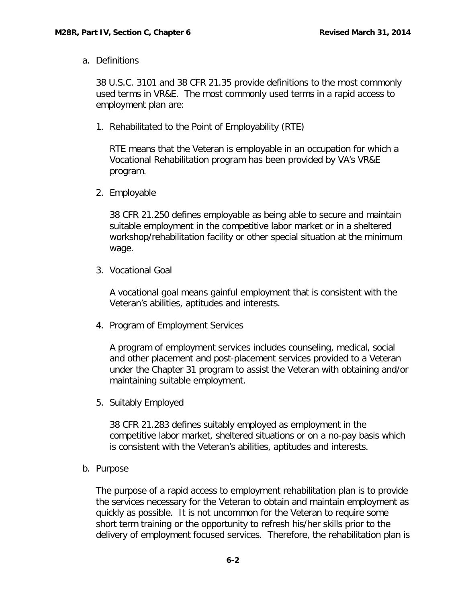<span id="page-2-0"></span>a. Definitions

38 U.S.C. 3101 and 38 CFR 21.35 provide definitions to the most commonly used terms in VR&E. The most commonly used terms in a rapid access to employment plan are:

1. Rehabilitated to the Point of Employability (RTE)

RTE means that the Veteran is employable in an occupation for which a Vocational Rehabilitation program has been provided by VA's VR&E program.

2. Employable

38 CFR 21.250 defines employable as being able to secure and maintain suitable employment in the competitive labor market or in a sheltered workshop/rehabilitation facility or other special situation at the minimum wage.

3. Vocational Goal

A vocational goal means gainful employment that is consistent with the Veteran's abilities, aptitudes and interests.

4. Program of Employment Services

A program of employment services includes counseling, medical, social and other placement and post-placement services provided to a Veteran under the Chapter 31 program to assist the Veteran with obtaining and/or maintaining suitable employment.

5. Suitably Employed

38 CFR 21.283 defines suitably employed as employment in the competitive labor market, sheltered situations or on a no-pay basis which is consistent with the Veteran's abilities, aptitudes and interests.

<span id="page-2-1"></span>b. Purpose

The purpose of a rapid access to employment rehabilitation plan is to provide the services necessary for the Veteran to obtain and maintain employment as quickly as possible. It is not uncommon for the Veteran to require some short term training or the opportunity to refresh his/her skills prior to the delivery of employment focused services. Therefore, the rehabilitation plan is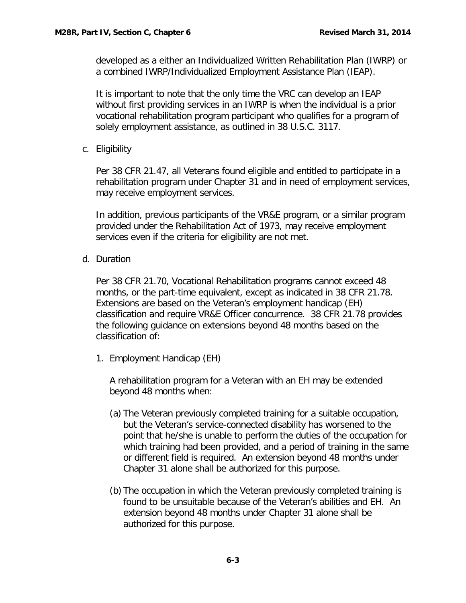developed as a either an Individualized Written Rehabilitation Plan (IWRP) or a combined IWRP/Individualized Employment Assistance Plan (IEAP).

It is important to note that the only time the VRC can develop an IEAP without first providing services in an IWRP is when the individual is a prior vocational rehabilitation program participant who qualifies for a program of solely employment assistance, as outlined in 38 U.S.C. 3117.

<span id="page-3-0"></span>c. Eligibility

Per 38 CFR 21.47, all Veterans found eligible and entitled to participate in a rehabilitation program under Chapter 31 and in need of employment services, may receive employment services.

In addition, previous participants of the VR&E program, or a similar program provided under the Rehabilitation Act of 1973, may receive employment services even if the criteria for eligibility are not met.

<span id="page-3-1"></span>d. Duration

Per 38 CFR 21.70, Vocational Rehabilitation programs cannot exceed 48 months, or the part-time equivalent, except as indicated in 38 CFR 21.78. Extensions are based on the Veteran's employment handicap (EH) classification and require VR&E Officer concurrence. 38 CFR 21.78 provides the following guidance on extensions beyond 48 months based on the classification of:

1. Employment Handicap (EH)

A rehabilitation program for a Veteran with an EH may be extended beyond 48 months when:

- (a) The Veteran previously completed training for a suitable occupation, but the Veteran's service-connected disability has worsened to the point that he/she is unable to perform the duties of the occupation for which training had been provided, and a period of training in the same or different field is required. An extension beyond 48 months under Chapter 31 alone shall be authorized for this purpose.
- (b) The occupation in which the Veteran previously completed training is found to be unsuitable because of the Veteran's abilities and EH. An extension beyond 48 months under Chapter 31 alone shall be authorized for this purpose.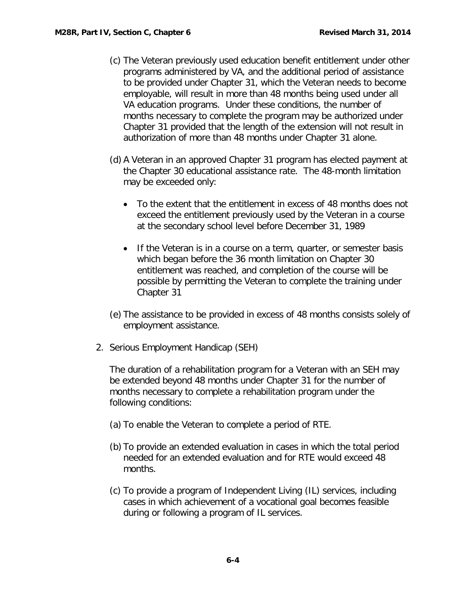- (c) The Veteran previously used education benefit entitlement under other programs administered by VA, and the additional period of assistance to be provided under Chapter 31, which the Veteran needs to become employable, will result in more than 48 months being used under all VA education programs. Under these conditions, the number of months necessary to complete the program may be authorized under Chapter 31 provided that the length of the extension will not result in authorization of more than 48 months under Chapter 31 alone.
- (d) A Veteran in an approved Chapter 31 program has elected payment at the Chapter 30 educational assistance rate. The 48-month limitation may be exceeded only:
	- To the extent that the entitlement in excess of 48 months does not exceed the entitlement previously used by the Veteran in a course at the secondary school level before December 31, 1989
	- If the Veteran is in a course on a term, quarter, or semester basis which began before the 36 month limitation on Chapter 30 entitlement was reached, and completion of the course will be possible by permitting the Veteran to complete the training under Chapter 31
- (e) The assistance to be provided in excess of 48 months consists solely of employment assistance.
- 2. Serious Employment Handicap (SEH)

The duration of a rehabilitation program for a Veteran with an SEH may be extended beyond 48 months under Chapter 31 for the number of months necessary to complete a rehabilitation program under the following conditions:

- (a) To enable the Veteran to complete a period of RTE.
- (b) To provide an extended evaluation in cases in which the total period needed for an extended evaluation and for RTE would exceed 48 months.
- (c) To provide a program of Independent Living (IL) services, including cases in which achievement of a vocational goal becomes feasible during or following a program of IL services.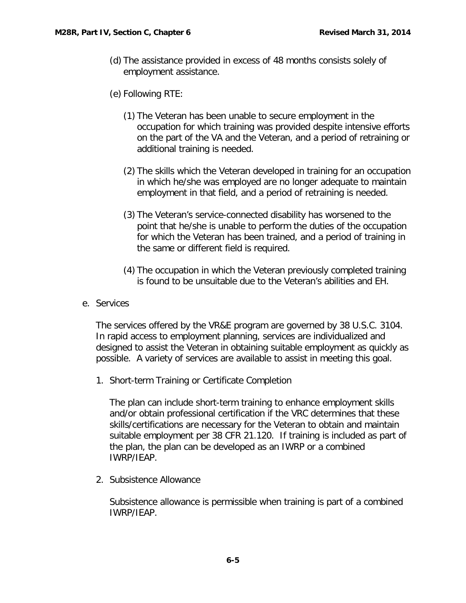- (d) The assistance provided in excess of 48 months consists solely of employment assistance.
- (e) Following RTE:
	- (1) The Veteran has been unable to secure employment in the occupation for which training was provided despite intensive efforts on the part of the VA and the Veteran, and a period of retraining or additional training is needed.
	- (2) The skills which the Veteran developed in training for an occupation in which he/she was employed are no longer adequate to maintain employment in that field, and a period of retraining is needed.
	- (3) The Veteran's service-connected disability has worsened to the point that he/she is unable to perform the duties of the occupation for which the Veteran has been trained, and a period of training in the same or different field is required.
	- (4) The occupation in which the Veteran previously completed training is found to be unsuitable due to the Veteran's abilities and EH.
- <span id="page-5-0"></span>e. Services

The services offered by the VR&E program are governed by 38 U.S.C. 3104. In rapid access to employment planning, services are individualized and designed to assist the Veteran in obtaining suitable employment as quickly as possible. A variety of services are available to assist in meeting this goal.

1. Short-term Training or Certificate Completion

The plan can include short-term training to enhance employment skills and/or obtain professional certification if the VRC determines that these skills/certifications are necessary for the Veteran to obtain and maintain suitable employment per 38 CFR 21.120. If training is included as part of the plan, the plan can be developed as an IWRP or a combined IWRP/IEAP.

2. Subsistence Allowance

Subsistence allowance is permissible when training is part of a combined IWRP/IEAP.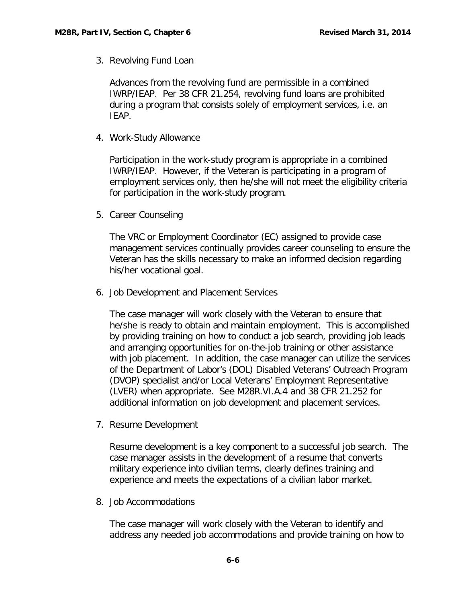3. Revolving Fund Loan

Advances from the revolving fund are permissible in a combined IWRP/IEAP. Per 38 CFR 21.254, revolving fund loans are prohibited during a program that consists solely of employment services, i.e. an IEAP.

4. Work-Study Allowance

Participation in the work-study program is appropriate in a combined IWRP/IEAP. However, if the Veteran is participating in a program of employment services only, then he/she will not meet the eligibility criteria for participation in the work-study program.

5. Career Counseling

The VRC or Employment Coordinator (EC) assigned to provide case management services continually provides career counseling to ensure the Veteran has the skills necessary to make an informed decision regarding his/her vocational goal.

6. Job Development and Placement Services

The case manager will work closely with the Veteran to ensure that he/she is ready to obtain and maintain employment. This is accomplished by providing training on how to conduct a job search, providing job leads and arranging opportunities for on-the-job training or other assistance with job placement. In addition, the case manager can utilize the services of the Department of Labor's (DOL) Disabled Veterans' Outreach Program (DVOP) specialist and/or Local Veterans' Employment Representative (LVER) when appropriate. See M28R.VI.A.4 and 38 CFR 21.252 for additional information on job development and placement services.

7. Resume Development

Resume development is a key component to a successful job search. The case manager assists in the development of a resume that converts military experience into civilian terms, clearly defines training and experience and meets the expectations of a civilian labor market.

8. Job Accommodations

The case manager will work closely with the Veteran to identify and address any needed job accommodations and provide training on how to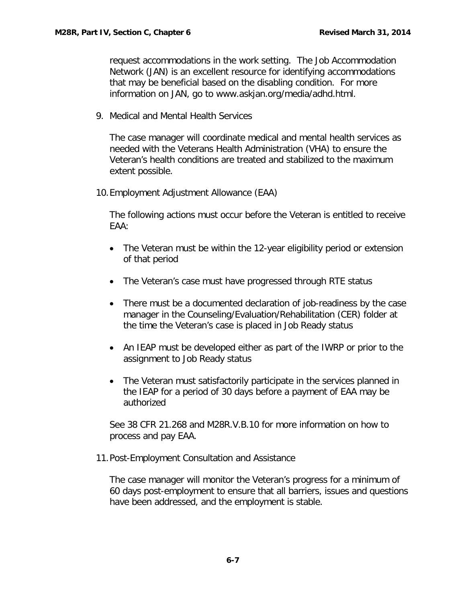request accommodations in the work setting. The Job Accommodation Network (JAN) is an excellent resource for identifying accommodations that may be beneficial based on the disabling condition. For more information on JAN, go to [www.askjan.org/media/adhd.html.](http://www.askjan.org/media/adhd.html)

9. Medical and Mental Health Services

The case manager will coordinate medical and mental health services as needed with the Veterans Health Administration (VHA) to ensure the Veteran's health conditions are treated and stabilized to the maximum extent possible.

10.Employment Adjustment Allowance (EAA)

The following actions must occur before the Veteran is entitled to receive EAA:

- The Veteran must be within the 12-year eligibility period or extension of that period
- The Veteran's case must have progressed through RTE status
- There must be a documented declaration of job-readiness by the case manager in the Counseling/Evaluation/Rehabilitation (CER) folder at the time the Veteran's case is placed in Job Ready status
- An IEAP must be developed either as part of the IWRP or prior to the assignment to Job Ready status
- The Veteran must satisfactorily participate in the services planned in the IEAP for a period of 30 days before a payment of EAA may be authorized

See 38 CFR 21.268 and M28R.V.B.10 for more information on how to process and pay EAA.

11.Post-Employment Consultation and Assistance

The case manager will monitor the Veteran's progress for a minimum of 60 days post-employment to ensure that all barriers, issues and questions have been addressed, and the employment is stable.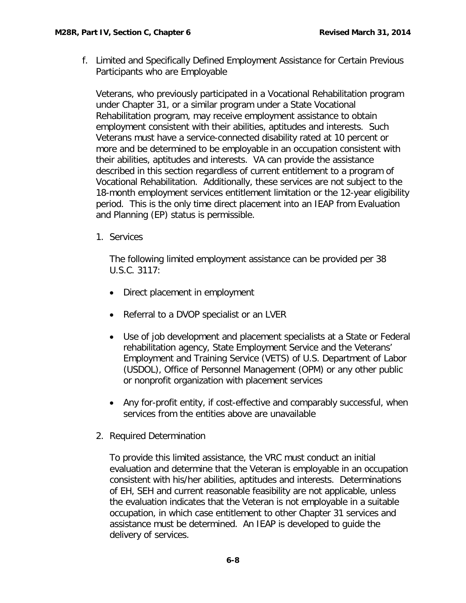<span id="page-8-0"></span>f. Limited and Specifically Defined Employment Assistance for Certain Previous Participants who are Employable

Veterans, who previously participated in a Vocational Rehabilitation program under Chapter 31, or a similar program under a State Vocational Rehabilitation program, may receive employment assistance to obtain employment consistent with their abilities, aptitudes and interests. Such Veterans must have a service-connected disability rated at 10 percent or more and be determined to be employable in an occupation consistent with their abilities, aptitudes and interests. VA can provide the assistance described in this section regardless of current entitlement to a program of Vocational Rehabilitation. Additionally, these services are not subject to the 18-month employment services entitlement limitation or the 12-year eligibility period. This is the only time direct placement into an IEAP from Evaluation and Planning (EP) status is permissible.

1. Services

The following limited employment assistance can be provided per 38 U.S.C. 3117:

- Direct placement in employment
- Referral to a DVOP specialist or an LVER
- Use of job development and placement specialists at a State or Federal rehabilitation agency, State Employment Service and the Veterans' Employment and Training Service (VETS) of U.S. Department of Labor (USDOL), Office of Personnel Management (OPM) or any other public or nonprofit organization with placement services
- Any for-profit entity, if cost-effective and comparably successful, when services from the entities above are unavailable
- 2. Required Determination

To provide this limited assistance, the VRC must conduct an initial evaluation and determine that the Veteran is employable in an occupation consistent with his/her abilities, aptitudes and interests. Determinations of EH, SEH and current reasonable feasibility are not applicable, unless the evaluation indicates that the Veteran is not employable in a suitable occupation, in which case entitlement to other Chapter 31 services and assistance must be determined. An IEAP is developed to guide the delivery of services.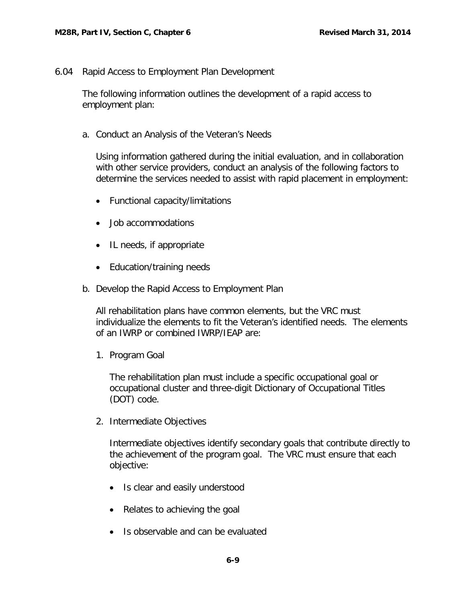# <span id="page-9-0"></span>6.04 Rapid Access to Employment Plan Development

The following information outlines the development of a rapid access to employment plan:

<span id="page-9-1"></span>a. Conduct an Analysis of the Veteran's Needs

Using information gathered during the initial evaluation, and in collaboration with other service providers, conduct an analysis of the following factors to determine the services needed to assist with rapid placement in employment:

- Functional capacity/limitations
- Job accommodations
- IL needs, if appropriate
- Education/training needs
- <span id="page-9-2"></span>b. Develop the Rapid Access to Employment Plan

All rehabilitation plans have common elements, but the VRC must individualize the elements to fit the Veteran's identified needs. The elements of an IWRP or combined IWRP/IEAP are:

1. Program Goal

The rehabilitation plan must include a specific occupational goal or occupational cluster and three-digit Dictionary of Occupational Titles (DOT) code.

2. Intermediate Objectives

Intermediate objectives identify secondary goals that contribute directly to the achievement of the program goal. The VRC must ensure that each objective:

- Is clear and easily understood
- Relates to achieving the goal
- Is observable and can be evaluated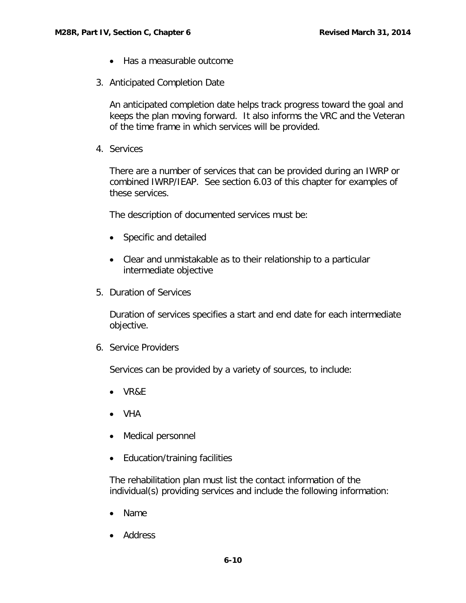- Has a measurable outcome
- 3. Anticipated Completion Date

An anticipated completion date helps track progress toward the goal and keeps the plan moving forward. It also informs the VRC and the Veteran of the time frame in which services will be provided.

4. Services

There are a number of services that can be provided during an IWRP or combined IWRP/IEAP. See section 6.03 of this chapter for examples of these services.

The description of documented services must be:

- Specific and detailed
- Clear and unmistakable as to their relationship to a particular intermediate objective
- 5. Duration of Services

Duration of services specifies a start and end date for each intermediate objective.

6. Service Providers

Services can be provided by a variety of sources, to include:

- VR&E
- VHA
- Medical personnel
- Education/training facilities

The rehabilitation plan must list the contact information of the individual(s) providing services and include the following information:

- Name
- Address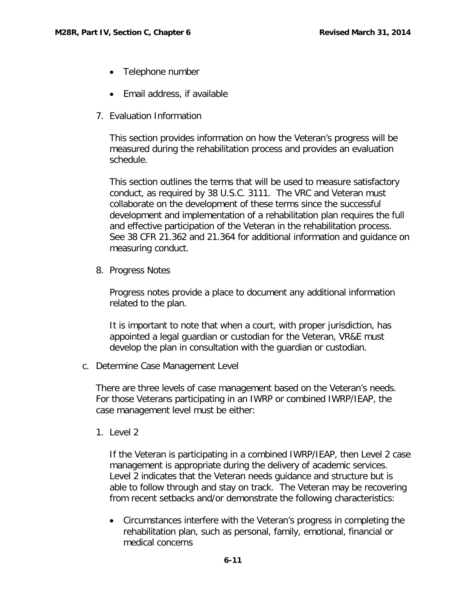- Telephone number
- Email address, if available
- 7. Evaluation Information

This section provides information on how the Veteran's progress will be measured during the rehabilitation process and provides an evaluation schedule.

This section outlines the terms that will be used to measure satisfactory conduct, as required by 38 U.S.C. 3111. The VRC and Veteran must collaborate on the development of these terms since the successful development and implementation of a rehabilitation plan requires the full and effective participation of the Veteran in the rehabilitation process. See 38 CFR 21.362 and 21.364 for additional information and guidance on measuring conduct.

8. Progress Notes

Progress notes provide a place to document any additional information related to the plan.

It is important to note that when a court, with proper jurisdiction, has appointed a legal guardian or custodian for the Veteran, VR&E must develop the plan in consultation with the guardian or custodian.

<span id="page-11-0"></span>c. Determine Case Management Level

There are three levels of case management based on the Veteran's needs. For those Veterans participating in an IWRP or combined IWRP/IEAP, the case management level must be either:

1. Level 2

If the Veteran is participating in a combined IWRP/IEAP, then Level 2 case management is appropriate during the delivery of academic services. Level 2 indicates that the Veteran needs guidance and structure but is able to follow through and stay on track. The Veteran may be recovering from recent setbacks and/or demonstrate the following characteristics:

• Circumstances interfere with the Veteran's progress in completing the rehabilitation plan, such as personal, family, emotional, financial or medical concerns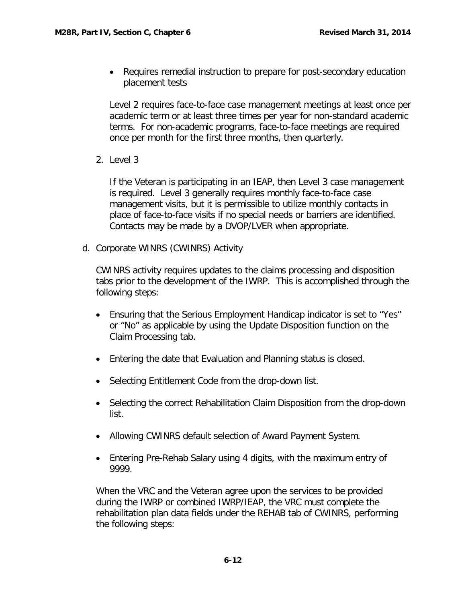• Requires remedial instruction to prepare for post-secondary education placement tests

Level 2 requires face-to-face case management meetings at least once per academic term or at least three times per year for non-standard academic terms. For non-academic programs, face-to-face meetings are required once per month for the first three months, then quarterly.

2. Level 3

If the Veteran is participating in an IEAP, then Level 3 case management is required. Level 3 generally requires monthly face-to-face case management visits, but it is permissible to utilize monthly contacts in place of face-to-face visits if no special needs or barriers are identified. Contacts may be made by a DVOP/LVER when appropriate.

<span id="page-12-0"></span>d. Corporate WINRS (CWINRS) Activity

CWINRS activity requires updates to the claims processing and disposition tabs prior to the development of the IWRP. This is accomplished through the following steps:

- Ensuring that the Serious Employment Handicap indicator is set to "Yes" or "No" as applicable by using the Update Disposition function on the Claim Processing tab.
- Entering the date that Evaluation and Planning status is closed.
- Selecting Entitlement Code from the drop-down list.
- Selecting the correct Rehabilitation Claim Disposition from the drop-down list.
- Allowing CWINRS default selection of Award Payment System.
- Entering Pre-Rehab Salary using 4 digits, with the maximum entry of 9999.

When the VRC and the Veteran agree upon the services to be provided during the IWRP or combined IWRP/IEAP, the VRC must complete the rehabilitation plan data fields under the REHAB tab of CWINRS, performing the following steps: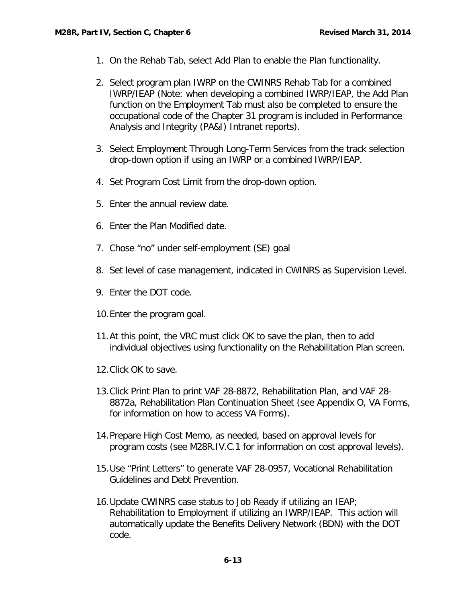- 1. On the Rehab Tab, select Add Plan to enable the Plan functionality.
- 2. Select program plan IWRP on the CWINRS Rehab Tab for a combined IWRP/IEAP (Note: when developing a combined IWRP/IEAP, the Add Plan function on the Employment Tab must also be completed to ensure the occupational code of the Chapter 31 program is included in Performance Analysis and Integrity (PA&I) Intranet reports).
- 3. Select Employment Through Long-Term Services from the track selection drop-down option if using an IWRP or a combined IWRP/IEAP.
- 4. Set Program Cost Limit from the drop-down option.
- 5. Enter the annual review date.
- 6. Enter the Plan Modified date.
- 7. Chose "no" under self-employment (SE) goal
- 8. Set level of case management, indicated in CWINRS as Supervision Level.
- 9. Enter the DOT code.
- 10.Enter the program goal.
- 11.At this point, the VRC must click OK to save the plan, then to add individual objectives using functionality on the Rehabilitation Plan screen.
- 12.Click OK to save.
- 13.Click Print Plan to print VAF 28-8872, Rehabilitation Plan, and VAF 28- 8872a, Rehabilitation Plan Continuation Sheet (see Appendix O, VA Forms, for information on how to access VA Forms).
- 14.Prepare High Cost Memo, as needed, based on approval levels for program costs (see M28R.IV.C.1 for information on cost approval levels).
- 15.Use "Print Letters" to generate VAF 28-0957, Vocational Rehabilitation Guidelines and Debt Prevention.
- 16.Update CWINRS case status to Job Ready if utilizing an IEAP; Rehabilitation to Employment if utilizing an IWRP/IEAP. This action will automatically update the Benefits Delivery Network (BDN) with the DOT code.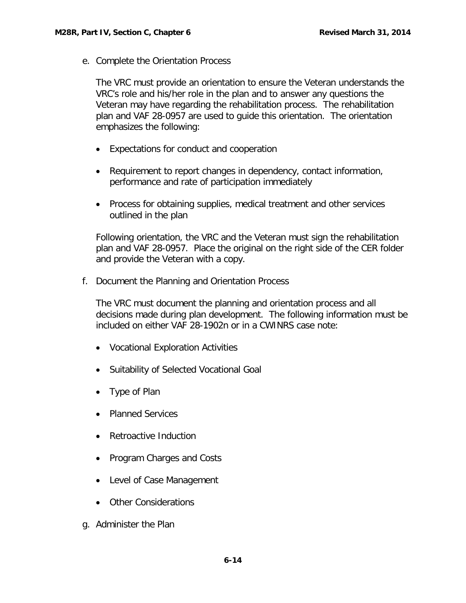<span id="page-14-0"></span>e. Complete the Orientation Process

The VRC must provide an orientation to ensure the Veteran understands the VRC's role and his/her role in the plan and to answer any questions the Veteran may have regarding the rehabilitation process. The rehabilitation plan and VAF 28-0957 are used to guide this orientation. The orientation emphasizes the following:

- Expectations for conduct and cooperation
- Requirement to report changes in dependency, contact information, performance and rate of participation immediately
- Process for obtaining supplies, medical treatment and other services outlined in the plan

Following orientation, the VRC and the Veteran must sign the rehabilitation plan and VAF 28-0957. Place the original on the right side of the CER folder and provide the Veteran with a copy.

<span id="page-14-1"></span>f. Document the Planning and Orientation Process

The VRC must document the planning and orientation process and all decisions made during plan development. The following information must be included on either VAF 28-1902n or in a CWINRS case note:

- Vocational Exploration Activities
- Suitability of Selected Vocational Goal
- Type of Plan
- Planned Services
- Retroactive Induction
- Program Charges and Costs
- Level of Case Management
- Other Considerations
- <span id="page-14-2"></span>g. Administer the Plan